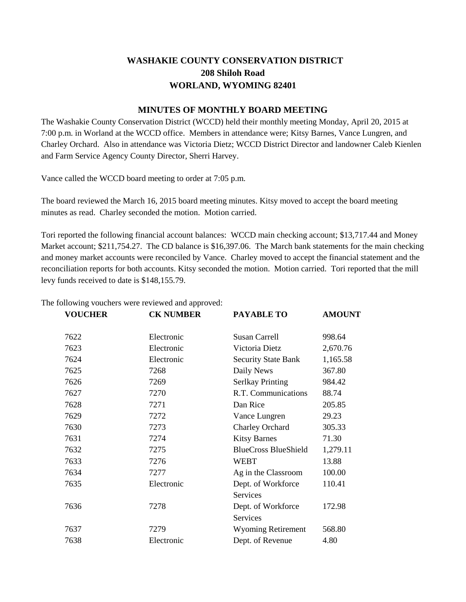# **WASHAKIE COUNTY CONSERVATION DISTRICT 208 Shiloh Road WORLAND, WYOMING 82401**

# **MINUTES OF MONTHLY BOARD MEETING**

The Washakie County Conservation District (WCCD) held their monthly meeting Monday, April 20, 2015 at 7:00 p.m. in Worland at the WCCD office. Members in attendance were; Kitsy Barnes, Vance Lungren, and Charley Orchard. Also in attendance was Victoria Dietz; WCCD District Director and landowner Caleb Kienlen and Farm Service Agency County Director, Sherri Harvey.

Vance called the WCCD board meeting to order at 7:05 p.m.

The board reviewed the March 16, 2015 board meeting minutes. Kitsy moved to accept the board meeting minutes as read. Charley seconded the motion. Motion carried.

Tori reported the following financial account balances: WCCD main checking account; \$13,717.44 and Money Market account; \$211,754.27. The CD balance is \$16,397.06. The March bank statements for the main checking and money market accounts were reconciled by Vance. Charley moved to accept the financial statement and the reconciliation reports for both accounts. Kitsy seconded the motion. Motion carried. Tori reported that the mill levy funds received to date is \$148,155.79.

| <b>VOUCHER</b> | <b>CK NUMBER</b> | <b>PAYABLE TO</b>           | <b>AMOUNT</b> |
|----------------|------------------|-----------------------------|---------------|
| 7622           | Electronic       | Susan Carrell               | 998.64        |
| 7623           | Electronic       | Victoria Dietz              | 2,670.76      |
| 7624           | Electronic       | <b>Security State Bank</b>  | 1,165.58      |
| 7625           | 7268             | Daily News                  | 367.80        |
| 7626           | 7269             | <b>Serlkay Printing</b>     | 984.42        |
| 7627           | 7270             | R.T. Communications         | 88.74         |
| 7628           | 7271             | Dan Rice                    | 205.85        |
| 7629           | 7272             | Vance Lungren               | 29.23         |
| 7630           | 7273             | <b>Charley Orchard</b>      | 305.33        |
| 7631           | 7274             | <b>Kitsy Barnes</b>         | 71.30         |
| 7632           | 7275             | <b>BlueCross BlueShield</b> | 1,279.11      |
| 7633           | 7276             | <b>WEBT</b>                 | 13.88         |
| 7634           | 7277             | Ag in the Classroom         | 100.00        |
| 7635           | Electronic       | Dept. of Workforce          | 110.41        |
|                |                  | <b>Services</b>             |               |
| 7636           | 7278             | Dept. of Workforce          | 172.98        |
|                |                  | Services                    |               |
| 7637           | 7279             | <b>Wyoming Retirement</b>   | 568.80        |
| 7638           | Electronic       | Dept. of Revenue            | 4.80          |

The following vouchers were reviewed and approved: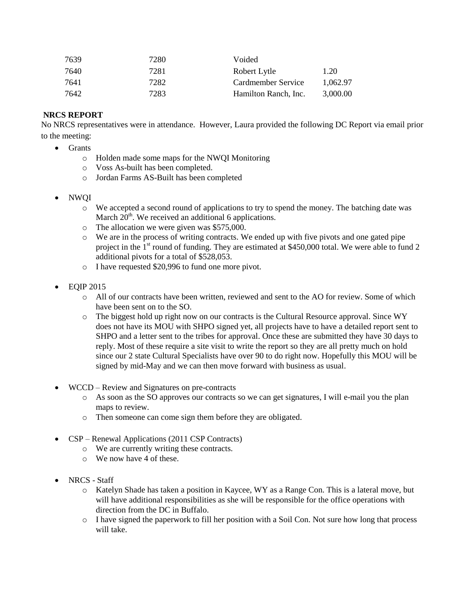| 7639 | 7280 | Voided               |          |
|------|------|----------------------|----------|
| 7640 | 7281 | Robert Lytle         | 1.20     |
| 7641 | 7282 | Cardmember Service   | 1.062.97 |
| 7642 | 7283 | Hamilton Ranch, Inc. | 3.000.00 |

# **NRCS REPORT**

No NRCS representatives were in attendance. However, Laura provided the following DC Report via email prior to the meeting:

- Grants
	- o Holden made some maps for the NWQI Monitoring
	- o Voss As-built has been completed.
	- o Jordan Farms AS-Built has been completed
- NWQI
	- o We accepted a second round of applications to try to spend the money. The batching date was March  $20<sup>th</sup>$ . We received an additional 6 applications.
	- o The allocation we were given was \$575,000.
	- o We are in the process of writing contracts. We ended up with five pivots and one gated pipe project in the  $1<sup>st</sup>$  round of funding. They are estimated at \$450,000 total. We were able to fund 2 additional pivots for a total of \$528,053.
	- o I have requested \$20,996 to fund one more pivot.
- $\bullet$  EQIP 2015
	- o All of our contracts have been written, reviewed and sent to the AO for review. Some of which have been sent on to the SO.
	- $\circ$  The biggest hold up right now on our contracts is the Cultural Resource approval. Since WY does not have its MOU with SHPO signed yet, all projects have to have a detailed report sent to SHPO and a letter sent to the tribes for approval. Once these are submitted they have 30 days to reply. Most of these require a site visit to write the report so they are all pretty much on hold since our 2 state Cultural Specialists have over 90 to do right now. Hopefully this MOU will be signed by mid-May and we can then move forward with business as usual.
- WCCD Review and Signatures on pre-contracts
	- o As soon as the SO approves our contracts so we can get signatures, I will e-mail you the plan maps to review.
	- o Then someone can come sign them before they are obligated.
- CSP Renewal Applications (2011 CSP Contracts)
	- o We are currently writing these contracts.
	- o We now have 4 of these.
- NRCS Staff
	- o Katelyn Shade has taken a position in Kaycee, WY as a Range Con. This is a lateral move, but will have additional responsibilities as she will be responsible for the office operations with direction from the DC in Buffalo.
	- o I have signed the paperwork to fill her position with a Soil Con. Not sure how long that process will take.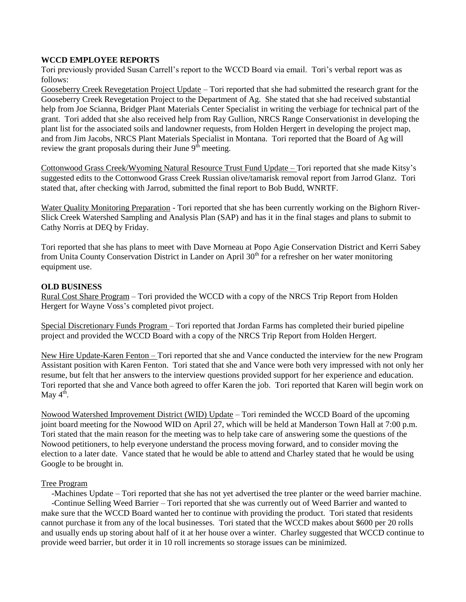## **WCCD EMPLOYEE REPORTS**

Tori previously provided Susan Carrell's report to the WCCD Board via email. Tori's verbal report was as follows:

Gooseberry Creek Revegetation Project Update – Tori reported that she had submitted the research grant for the Gooseberry Creek Revegetation Project to the Department of Ag. She stated that she had received substantial help from Joe Scianna, Bridger Plant Materials Center Specialist in writing the verbiage for technical part of the grant. Tori added that she also received help from Ray Gullion, NRCS Range Conservationist in developing the plant list for the associated soils and landowner requests, from Holden Hergert in developing the project map, and from Jim Jacobs, NRCS Plant Materials Specialist in Montana. Tori reported that the Board of Ag will review the grant proposals during their June  $9<sup>th</sup>$  meeting.

Cottonwood Grass Creek/Wyoming Natural Resource Trust Fund Update – Tori reported that she made Kitsy's suggested edits to the Cottonwood Grass Creek Russian olive/tamarisk removal report from Jarrod Glanz. Tori stated that, after checking with Jarrod, submitted the final report to Bob Budd, WNRTF.

Water Quality Monitoring Preparation - Tori reported that she has been currently working on the Bighorn River-Slick Creek Watershed Sampling and Analysis Plan (SAP) and has it in the final stages and plans to submit to Cathy Norris at DEQ by Friday.

Tori reported that she has plans to meet with Dave Morneau at Popo Agie Conservation District and Kerri Sabey from Unita County Conservation District in Lander on April 30<sup>th</sup> for a refresher on her water monitoring equipment use.

### **OLD BUSINESS**

Rural Cost Share Program – Tori provided the WCCD with a copy of the NRCS Trip Report from Holden Hergert for Wayne Voss's completed pivot project.

Special Discretionary Funds Program – Tori reported that Jordan Farms has completed their buried pipeline project and provided the WCCD Board with a copy of the NRCS Trip Report from Holden Hergert.

New Hire Update-Karen Fenton – Tori reported that she and Vance conducted the interview for the new Program Assistant position with Karen Fenton. Tori stated that she and Vance were both very impressed with not only her resume, but felt that her answers to the interview questions provided support for her experience and education. Tori reported that she and Vance both agreed to offer Karen the job. Tori reported that Karen will begin work on May  $4^{\overline{th}}$ .

Nowood Watershed Improvement District (WID) Update – Tori reminded the WCCD Board of the upcoming joint board meeting for the Nowood WID on April 27, which will be held at Manderson Town Hall at 7:00 p.m. Tori stated that the main reason for the meeting was to help take care of answering some the questions of the Nowood petitioners, to help everyone understand the process moving forward, and to consider moving the election to a later date. Vance stated that he would be able to attend and Charley stated that he would be using Google to be brought in.

#### Tree Program

 -Machines Update – Tori reported that she has not yet advertised the tree planter or the weed barrier machine. -Continue Selling Weed Barrier – Tori reported that she was currently out of Weed Barrier and wanted to make sure that the WCCD Board wanted her to continue with providing the product. Tori stated that residents cannot purchase it from any of the local businesses. Tori stated that the WCCD makes about \$600 per 20 rolls and usually ends up storing about half of it at her house over a winter. Charley suggested that WCCD continue to provide weed barrier, but order it in 10 roll increments so storage issues can be minimized.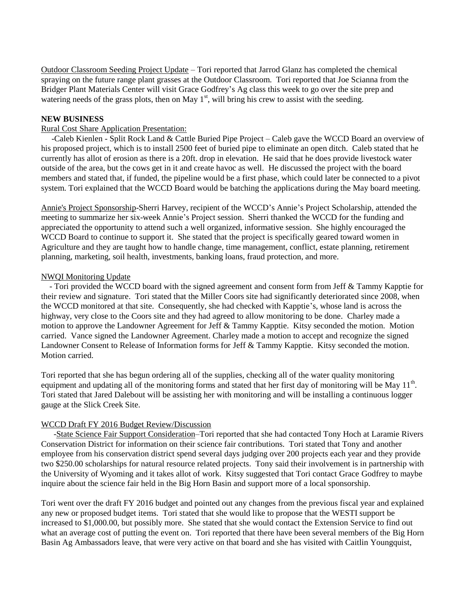Outdoor Classroom Seeding Project Update – Tori reported that Jarrod Glanz has completed the chemical spraying on the future range plant grasses at the Outdoor Classroom. Tori reported that Joe Scianna from the Bridger Plant Materials Center will visit Grace Godfrey's Ag class this week to go over the site prep and watering needs of the grass plots, then on May  $1<sup>st</sup>$ , will bring his crew to assist with the seeding.

## **NEW BUSINESS**

### Rural Cost Share Application Presentation:

 -Caleb Kienlen - [Split Rock Land & Cattle Buried Pipe Project](http://weebly-file/4/6/2/9/46293003/split_rock_land_&_cattle_rural_application_2015.pdf) – Caleb gave the WCCD Board an overview of his proposed project, which is to install 2500 feet of buried pipe to eliminate an open ditch. Caleb stated that he currently has allot of erosion as there is a 20ft. drop in elevation. He said that he does provide livestock water outside of the area, but the cows get in it and create havoc as well. He discussed the project with the board members and stated that, if funded, the pipeline would be a first phase, which could later be connected to a pivot system. Tori explained that the WCCD Board would be batching the applications during the May board meeting.

Annie's Project Sponsorship-Sherri Harvey, recipient of the WCCD's Annie's Project Scholarship, attended the meeting to summarize her six-week Annie's Project session. Sherri thanked the WCCD for the funding and appreciated the opportunity to attend such a well organized, informative session. She highly encouraged the WCCD Board to continue to support it. She stated that the project is specifically geared toward women in Agriculture and they are taught how to handle change, time management, conflict, estate planning, retirement planning, marketing, soil health, investments, banking loans, fraud protection, and more.

#### NWQI Monitoring Update

 - Tori provided the WCCD board with the signed agreement and consent form from [Jeff & Tammy](http://weebly-file/4/6/2/9/46293003/kappti_agreement_consent_forms.pdf) Kapptie for their review and signature. Tori stated that the Miller Coors site had significantly deteriorated since 2008, when the WCCD monitored at that site. Consequently, she had checked with Kapptie's, whose land is across the highway, very close to the Coors site and they had agreed to allow monitoring to be done. Charley made a motion to approve the Landowner Agreement for [Jeff & Tammy](http://weebly-file/4/6/2/9/46293003/kappti_agreement_consent_forms.pdf) Kapptie. Kitsy seconded the motion. Motion carried. Vance signed the Landowner Agreement. Charley made a motion to accept and recognize the signed Landowner Consent to Release of Information forms for [Jeff & Tammy](http://weebly-file/4/6/2/9/46293003/kappti_agreement_consent_forms.pdf) Kapptie. Kitsy seconded the motion. Motion carried.

Tori reported that she has begun ordering all of the supplies, checking all of the water quality monitoring equipment and updating all of the monitoring forms and stated that her first day of monitoring will be May  $11<sup>th</sup>$ . Tori stated that Jared Dalebout will be assisting her with monitoring and will be installing a continuous logger gauge at the Slick Creek Site.

#### [WCCD Draft FY 2016 Budget](http://weebly-file/4/6/2/9/46293003/fy_2016_budget_for_board_review_04192015.pdf) Review/Discussion

 -State Science Fair Support Consideration–Tori reported that she had contacted Tony Hoch at Laramie Rivers Conservation District for information on their science fair contributions. Tori stated that Tony and another employee from his conservation district spend several days judging over 200 projects each year and they provide two \$250.00 scholarships for natural resource related projects. Tony said their involvement is in partnership with the University of Wyoming and it takes allot of work. Kitsy suggested that Tori contact Grace Godfrey to maybe inquire about the science fair held in the Big Horn Basin and support more of a local sponsorship.

Tori went over the draft FY 2016 budget and pointed out any changes from the previous fiscal year and explained any new or proposed budget items. Tori stated that she would like to propose that the WESTI support be increased to \$1,000.00, but possibly more. She stated that she would contact the Extension Service to find out what an average cost of putting the event on. Tori reported that there have been several members of the Big Horn Basin Ag Ambassadors leave, that were very active on that board and she has visited with Caitlin Youngquist,